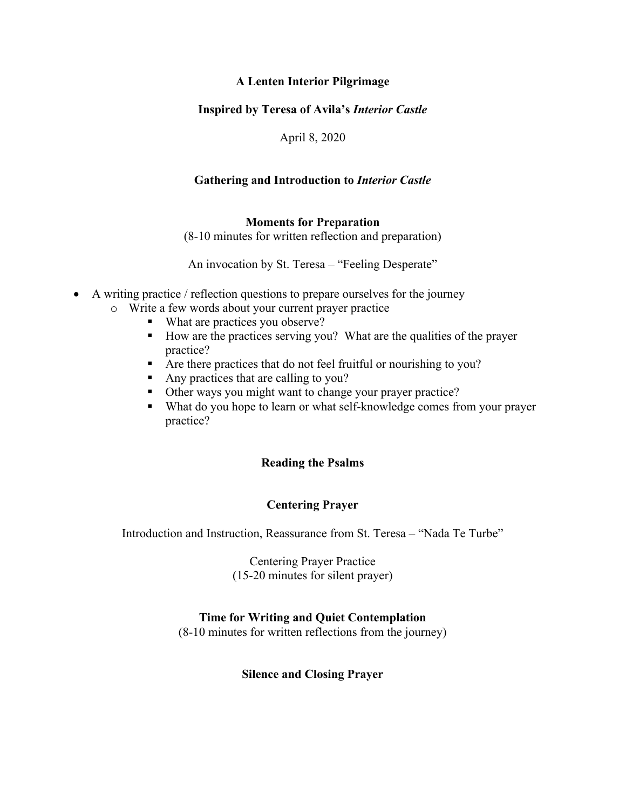# **A Lenten Interior Pilgrimage**

# **Inspired by Teresa of Avila's** *Interior Castle*

April 8, 2020

# **Gathering and Introduction to** *Interior Castle*

## **Moments for Preparation**

(8-10 minutes for written reflection and preparation)

An invocation by St. Teresa – "Feeling Desperate"

- A writing practice / reflection questions to prepare ourselves for the journey
	- o Write a few words about your current prayer practice
		- What are practices you observe?
		- How are the practices serving you? What are the qualities of the prayer practice?
		- Are there practices that do not feel fruitful or nourishing to you?
		- Any practices that are calling to you?
		- Other ways you might want to change your prayer practice?
		- What do you hope to learn or what self-knowledge comes from your prayer practice?

## **Reading the Psalms**

## **Centering Prayer**

Introduction and Instruction, Reassurance from St. Teresa – "Nada Te Turbe"

Centering Prayer Practice (15-20 minutes for silent prayer)

## **Time for Writing and Quiet Contemplation**

(8-10 minutes for written reflections from the journey)

#### **Silence and Closing Prayer**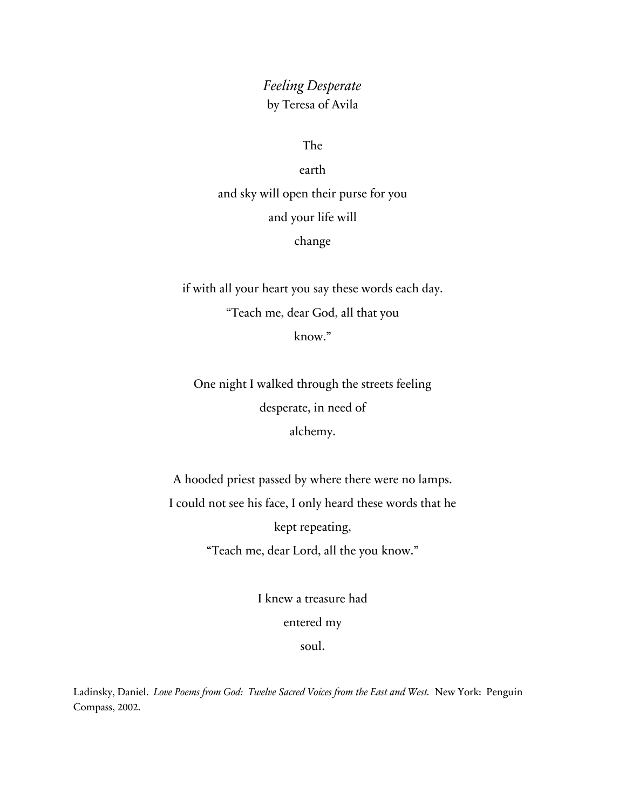# *Feeling Desperate* by Teresa of Avila

The

earth

and sky will open their purse for you and your life will change

if with all your heart you say these words each day. "Teach me, dear God, all that you know."

One night I walked through the streets feeling desperate, in need of alchemy.

A hooded priest passed by where there were no lamps. I could not see his face, I only heard these words that he kept repeating, "Teach me, dear Lord, all the you know."

> I knew a treasure had entered my soul.

Ladinsky, Daniel. *Love Poems from God: Twelve Sacred Voices from the East and West.* New York: Penguin Compass, 2002.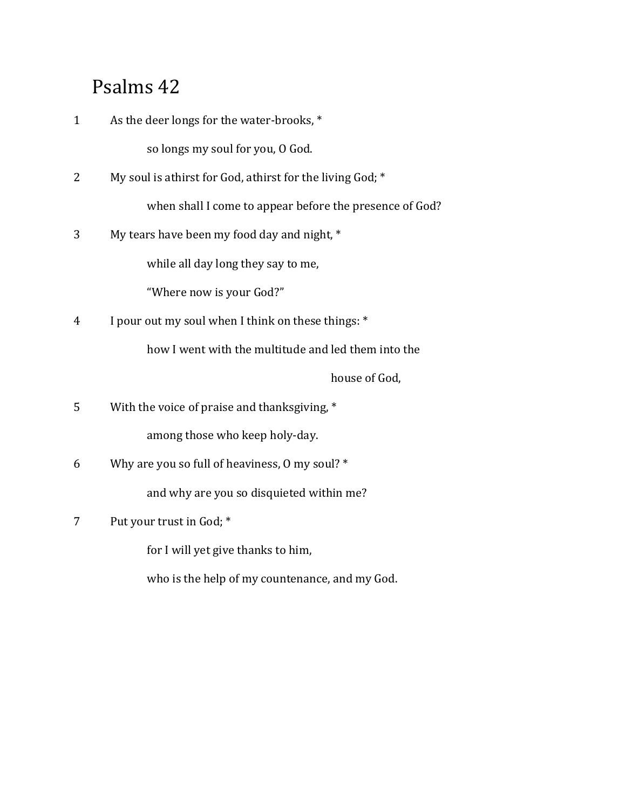# Psalms 42

| $\mathbf{1}$ | As the deer longs for the water-brooks, *                 |
|--------------|-----------------------------------------------------------|
|              | so longs my soul for you, O God.                          |
| 2            | My soul is athirst for God, athirst for the living God; * |
|              | when shall I come to appear before the presence of God?   |
| 3            | My tears have been my food day and night, *               |
|              | while all day long they say to me,                        |
|              | "Where now is your God?"                                  |
| 4            | I pour out my soul when I think on these things: *        |
|              | how I went with the multitude and led them into the       |
|              | house of God,                                             |
| 5            | With the voice of praise and thanksgiving, *              |
|              | among those who keep holy-day.                            |
| 6            | Why are you so full of heaviness, 0 my soul? *            |
|              | and why are you so disquieted within me?                  |
|              |                                                           |

7 Put your trust in God;  $*$ 

for I will yet give thanks to him,

who is the help of my countenance, and my God.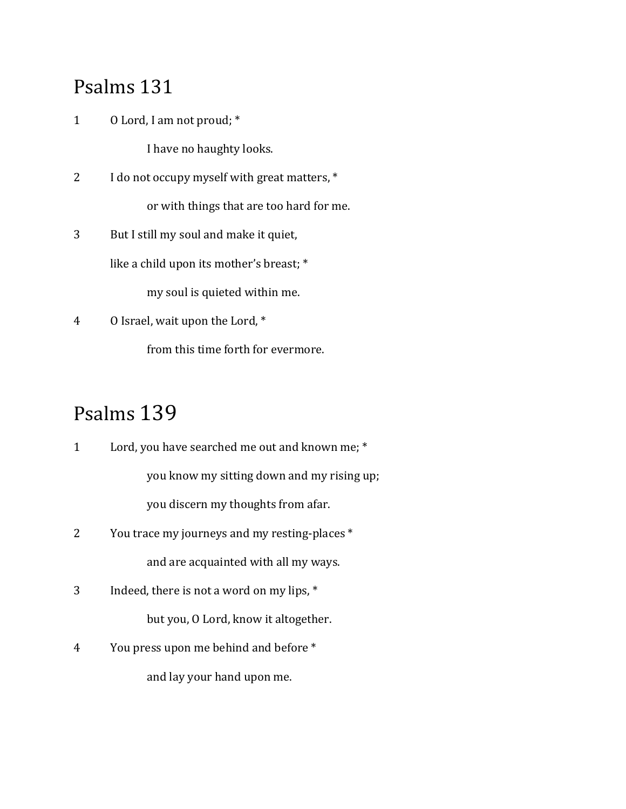# Psalms 131

1 O Lord, I am not proud; \*

I have no haughty looks.

- 2 I do not occupy myself with great matters,  $*$ or with things that are too hard for me.
- 3 But I still my soul and make it quiet, like a child upon its mother's breast; \*

my soul is quieted within me.

4 O Israel, wait upon the Lord, \* from this time forth for evermore.

# Psalms 139

- 1 Lord, you have searched me out and known me; \* you know my sitting down and my rising up; you discern my thoughts from afar.
- 2 You trace my journeys and my resting-places \* and are acquainted with all my ways.
- 3 Indeed, there is not a word on my lips,  $*$ but you, O Lord, know it altogether.
- 4 You press upon me behind and before \* and lay your hand upon me.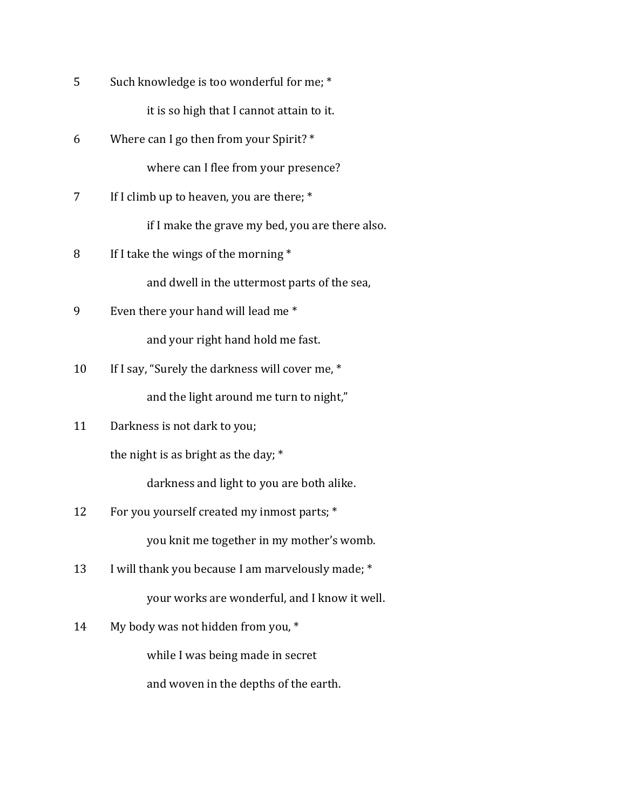| 5  | Such knowledge is too wonderful for me; *       |
|----|-------------------------------------------------|
|    | it is so high that I cannot attain to it.       |
| 6  | Where can I go then from your Spirit? *         |
|    | where can I flee from your presence?            |
| 7  | If I climb up to heaven, you are there; *       |
|    | if I make the grave my bed, you are there also. |
| 8  | If I take the wings of the morning *            |
|    | and dwell in the uttermost parts of the sea,    |
| 9  | Even there your hand will lead me*              |
|    | and your right hand hold me fast.               |
| 10 | If I say, "Surely the darkness will cover me, * |
|    | and the light around me turn to night,"         |
| 11 | Darkness is not dark to you;                    |
|    | the night is as bright as the day; *            |
|    | darkness and light to you are both alike.       |
| 12 | For you yourself created my inmost parts; *     |
|    | you knit me together in my mother's womb.       |

- 13 I will thank you because I am marvelously made; \* your works are wonderful, and I know it well.
- 14 My body was not hidden from you, \*

while I was being made in secret

and woven in the depths of the earth.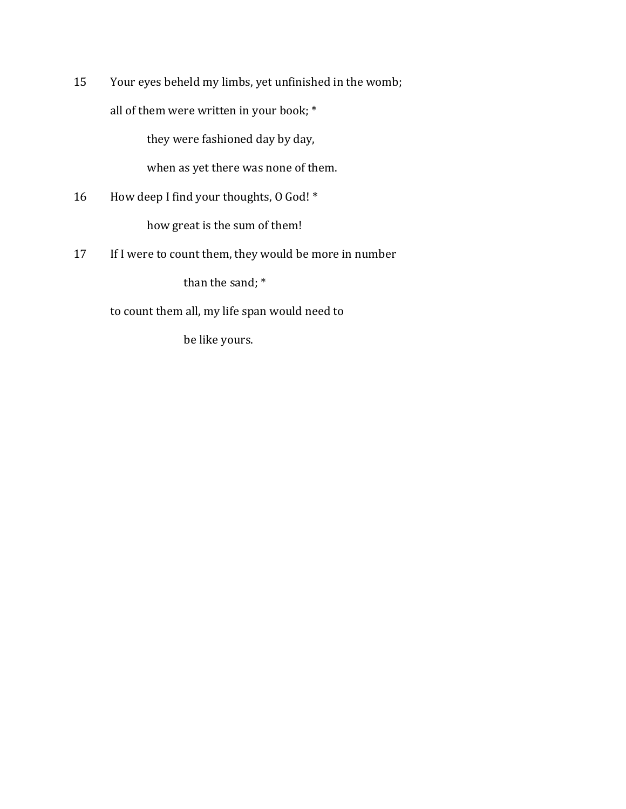15 Your eyes beheld my limbs, yet unfinished in the womb; all of them were written in your book;  $*$ 

they were fashioned day by day,

when as yet there was none of them.

- 16 How deep I find your thoughts, 0 God! \* how great is the sum of them!
- 17 If I were to count them, they would be more in number

than the sand;  $*$ 

to count them all, my life span would need to

be like yours.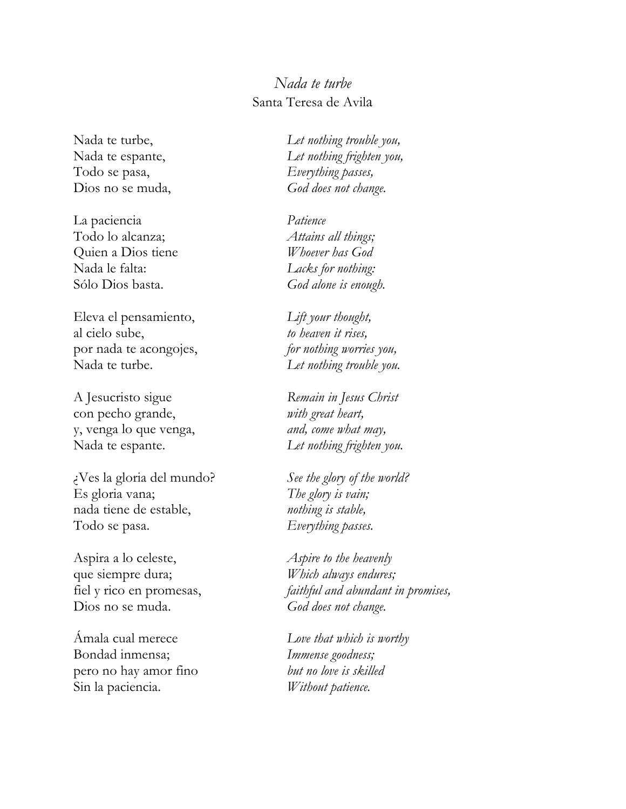# *Nada te turbe* Santa Teresa de Avila

Nada te turbe, Nada te espante, Todo se pasa, Dios no se muda,

La paciencia Todo lo alcanza; Quien a Dios tiene Nada le falta: Sólo Dios basta.

Eleva el pensamiento, al cielo sube, por nada te acongojes, Nada te turbe.

A Jesucristo sigue con pecho grande, y, venga lo que venga, Nada te espante.

¿Ves la gloria del mundo? Es gloria vana; nada tiene de estable, Todo se pasa.

Aspira a lo celeste, que siempre dura; fiel y rico en promesas, Dios no se muda.

Ámala cual merece Bondad inmensa; pero no hay amor fino Sin la paciencia.

*Let nothing trouble you, Let nothing frighten you, Everything passes, God does not change.*

*Patience Attains all things; Whoever has God Lacks for nothing: God alone is enough.*

*Lift your thought, to heaven it rises, for nothing worries you, Let nothing trouble you.*

*Remain in Jesus Christ with great heart, and, come what may, Let nothing frighten you.*

*See the glory of the world? The glory is vain; nothing is stable, Everything passes.*

*Aspire to the heavenly Which always endures; faithful and abundant in promises, God does not change.*

*Love that which is worthy Immense goodness; but no love is skilled Without patience.*